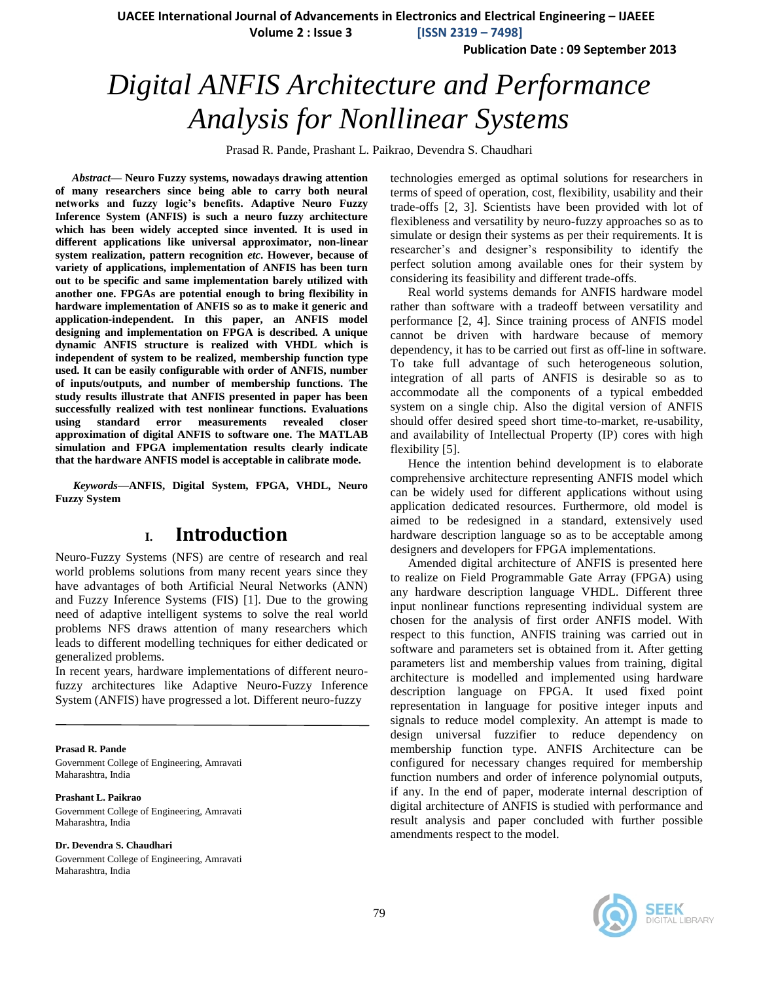**UACEE International Journal of Advancements in Electronics and Electrical Engineering – IJAEEE**

**Volume 2 : Issue 3 [ISSN 2319 – 7498]**

**Publication Date : 09 September 2013**

# *Digital ANFIS Architecture and Performance Analysis for Nonllinear Systems*

Prasad R. Pande, Prashant L. Paikrao, Devendra S. Chaudhari

*Abstract***— Neuro Fuzzy systems, nowadays drawing attention of many researchers since being able to carry both neural networks and fuzzy logic's benefits. Adaptive Neuro Fuzzy Inference System (ANFIS) is such a neuro fuzzy architecture which has been widely accepted since invented. It is used in different applications like universal approximator, non-linear system realization, pattern recognition** *etc***. However, because of variety of applications, implementation of ANFIS has been turn out to be specific and same implementation barely utilized with another one. FPGAs are potential enough to bring flexibility in hardware implementation of ANFIS so as to make it generic and application-independent. In this paper, an ANFIS model designing and implementation on FPGA is described. A unique dynamic ANFIS structure is realized with VHDL which is independent of system to be realized, membership function type used. It can be easily configurable with order of ANFIS, number of inputs/outputs, and number of membership functions. The study results illustrate that ANFIS presented in paper has been successfully realized with test nonlinear functions. Evaluations using standard error measurements revealed closer approximation of digital ANFIS to software one. The MATLAB simulation and FPGA implementation results clearly indicate that the hardware ANFIS model is acceptable in calibrate mode.**

*Keywords—***ANFIS, Digital System, FPGA, VHDL, Neuro Fuzzy System**

## **I. Introduction**

Neuro-Fuzzy Systems (NFS) are centre of research and real world problems solutions from many recent years since they have advantages of both Artificial Neural Networks (ANN) and Fuzzy Inference Systems (FIS) [1]. Due to the growing need of adaptive intelligent systems to solve the real world problems NFS draws attention of many researchers which leads to different modelling techniques for either dedicated or generalized problems.

In recent years, hardware implementations of different neurofuzzy architectures like Adaptive Neuro-Fuzzy Inference System (ANFIS) have progressed a lot. Different neuro-fuzzy

#### **Prasad R. Pande**

Government College of Engineering, Amravati Maharashtra, India

#### **Prashant L. Paikrao**

Government College of Engineering, Amravati Maharashtra, India

#### **Dr. Devendra S. Chaudhari**

Government College of Engineering, Amravati Maharashtra, India

technologies emerged as optimal solutions for researchers in terms of speed of operation, cost, flexibility, usability and their trade-offs [2, 3]. Scientists have been provided with lot of flexibleness and versatility by neuro-fuzzy approaches so as to simulate or design their systems as per their requirements. It is researcher"s and designer"s responsibility to identify the perfect solution among available ones for their system by considering its feasibility and different trade-offs.

Real world systems demands for ANFIS hardware model rather than software with a tradeoff between versatility and performance [2, 4]. Since training process of ANFIS model cannot be driven with hardware because of memory dependency, it has to be carried out first as off-line in software. To take full advantage of such heterogeneous solution, integration of all parts of ANFIS is desirable so as to accommodate all the components of a typical embedded system on a single chip. Also the digital version of ANFIS should offer desired speed short time-to-market, re-usability, and availability of Intellectual Property (IP) cores with high flexibility [5].

Hence the intention behind development is to elaborate comprehensive architecture representing ANFIS model which can be widely used for different applications without using application dedicated resources. Furthermore, old model is aimed to be redesigned in a standard, extensively used hardware description language so as to be acceptable among designers and developers for FPGA implementations.

Amended digital architecture of ANFIS is presented here to realize on Field Programmable Gate Array (FPGA) using any hardware description language VHDL. Different three input nonlinear functions representing individual system are chosen for the analysis of first order ANFIS model. With respect to this function, ANFIS training was carried out in software and parameters set is obtained from it. After getting parameters list and membership values from training, digital architecture is modelled and implemented using hardware description language on FPGA. It used fixed point representation in language for positive integer inputs and signals to reduce model complexity. An attempt is made to design universal fuzzifier to reduce dependency on membership function type. ANFIS Architecture can be configured for necessary changes required for membership function numbers and order of inference polynomial outputs, if any. In the end of paper, moderate internal description of digital architecture of ANFIS is studied with performance and result analysis and paper concluded with further possible amendments respect to the model.

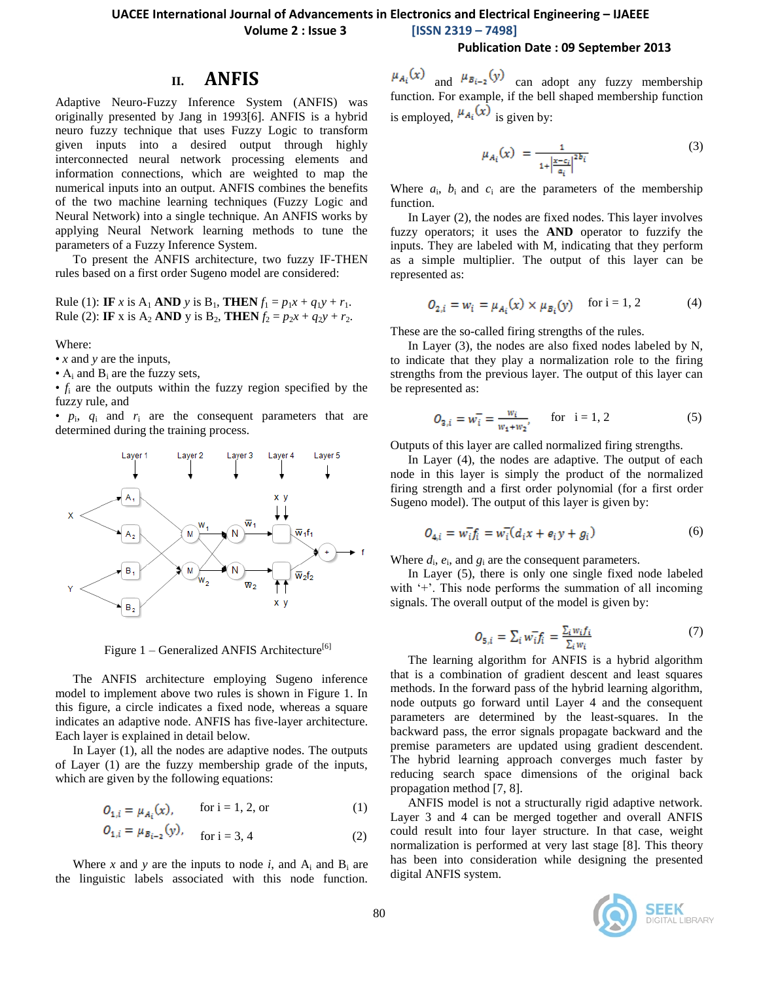### **UACEE International Journal of Advancements in Electronics and Electrical Engineering – IJAEEE**

**Volume 2 : Issue 3 [ISSN 2319 – 7498]**

### **Publication Date : 09 September 2013**

### **II. ANFIS**

Adaptive Neuro-Fuzzy Inference System (ANFIS) was originally presented by Jang in 1993[6]. ANFIS is a hybrid neuro fuzzy technique that uses Fuzzy Logic to transform given inputs into a desired output through highly interconnected neural network processing elements and information connections, which are weighted to map the numerical inputs into an output. ANFIS combines the benefits of the two machine learning techniques (Fuzzy Logic and Neural Network) into a single technique. An ANFIS works by applying Neural Network learning methods to tune the parameters of a Fuzzy Inference System.

To present the ANFIS architecture, two fuzzy IF-THEN rules based on a first order Sugeno model are considered:

Rule (1): **IF** *x* is A<sub>1</sub> **AND** *y* is B<sub>1</sub>, **THEN**  $f_1 = p_1 x + q_1 y + r_1$ . Rule (2): **IF** x is A<sub>2</sub> **AND** y is B<sub>2</sub>, **THEN**  $f_2 = p_2x + q_2y + r_2$ .

Where:

• *x* and *y* are the inputs,

•  $A_i$  and  $B_i$  are the fuzzy sets,

•  $f_i$  are the outputs within the fuzzy region specified by the fuzzy rule, and

 $\bullet$   $p_i$ ,  $q_i$  and  $r_i$  are the consequent parameters that are determined during the training process.



Figure  $1$  – Generalized ANFIS Architecture<sup>[6]</sup>

The ANFIS architecture employing Sugeno inference model to implement above two rules is shown in Figure 1. In this figure, a circle indicates a fixed node, whereas a square indicates an adaptive node. ANFIS has five-layer architecture. Each layer is explained in detail below.

In Layer (1), all the nodes are adaptive nodes. The outputs of Layer (1) are the fuzzy membership grade of the inputs, which are given by the following equations:

$$
O_{1,i} = \mu_{Ai}(x), \qquad \text{for } i = 1, 2, \text{ or} \tag{1}
$$

$$
O_{1,i} = \mu_{B_{i-2}}(y), \quad \text{for } i = 3, 4 \tag{2}
$$

Where *x* and *y* are the inputs to node *i*, and  $A_i$  and  $B_i$  are the linguistic labels associated with this node function.

 $\mu_{A_i}(x)$  and  $\mu_{B_{i-2}}(y)$  can adopt any fuzzy membership function. For example, if the bell shaped membership function is employed,  $\mu_{A_i}(x)$  is given by:

$$
\mu_{A_i}(x) = \frac{1}{1 + \left|\frac{x - c_i}{a_i}\right|^{2b_i}}\tag{3}
$$

Where  $a_i$ ,  $b_i$  and  $c_i$  are the parameters of the membership function.

In Layer (2), the nodes are fixed nodes. This layer involves fuzzy operators; it uses the **AND** operator to fuzzify the inputs. They are labeled with M, indicating that they perform as a simple multiplier. The output of this layer can be represented as:

$$
O_{2,i} = w_i = \mu_{A_i}(x) \times \mu_{B_i}(y) \quad \text{for } i = 1, 2 \tag{4}
$$

These are the so-called firing strengths of the rules.

In Layer (3), the nodes are also fixed nodes labeled by N, to indicate that they play a normalization role to the firing strengths from the previous layer. The output of this layer can be represented as:

$$
O_{2,i} = w_i^- = \frac{w_i}{w_1 + w_2}, \qquad \text{for} \quad i = 1, 2 \tag{5}
$$

Outputs of this layer are called normalized firing strengths.

In Layer (4), the nodes are adaptive. The output of each node in this layer is simply the product of the normalized firing strength and a first order polynomial (for a first order Sugeno model). The output of this layer is given by:

$$
O_{4,i} = w_{ij}^- f_i = w_i^- (d_i x + e_i y + g_i)
$$
\n<sup>(6)</sup>

Where  $d_i$ ,  $e_i$ , and  $g_i$  are the consequent parameters.

In Layer (5), there is only one single fixed node labeled with  $+$ . This node performs the summation of all incoming signals. The overall output of the model is given by:

$$
O_{5,i} = \sum_{i} w_{i}^{-} f_{i} = \frac{\sum_{i} w_{i} f_{i}}{\sum_{i} w_{i}}
$$
(7)

The learning algorithm for ANFIS is a hybrid algorithm that is a combination of gradient descent and least squares methods. In the forward pass of the hybrid learning algorithm, node outputs go forward until Layer 4 and the consequent parameters are determined by the least-squares. In the backward pass, the error signals propagate backward and the premise parameters are updated using gradient descendent. The hybrid learning approach converges much faster by reducing search space dimensions of the original back propagation method [7, 8].

ANFIS model is not a structurally rigid adaptive network. Layer 3 and 4 can be merged together and overall ANFIS could result into four layer structure. In that case, weight normalization is performed at very last stage [8]. This theory has been into consideration while designing the presented digital ANFIS system.

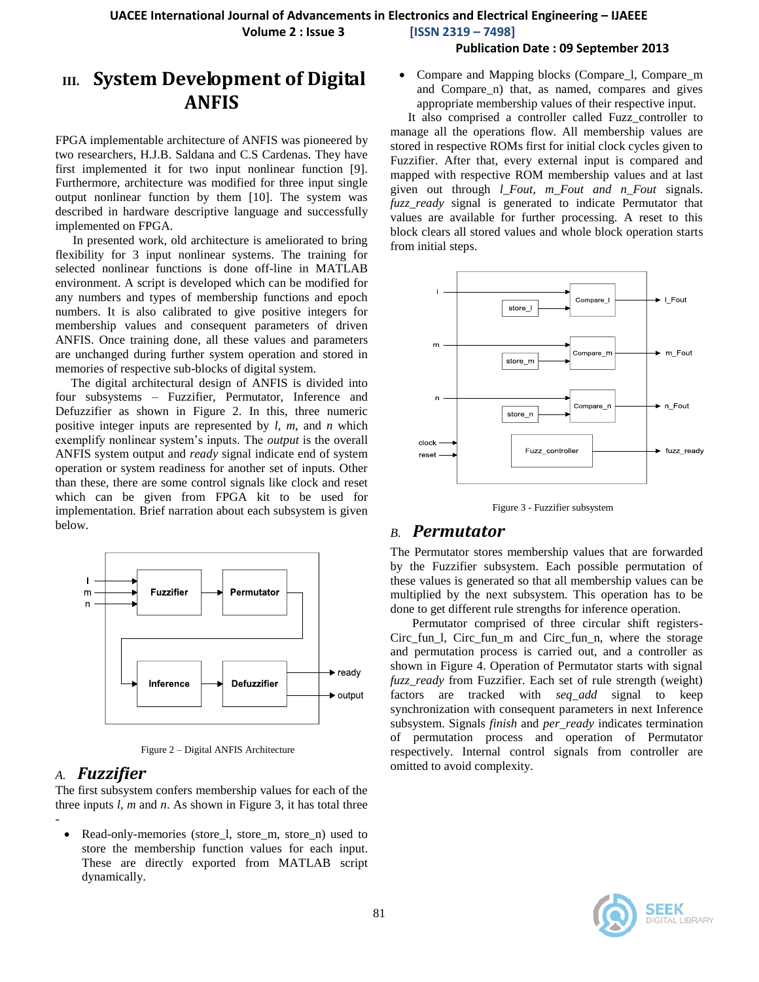**Volume 2 : Issue 3 [ISSN 2319 – 7498]**

#### **Publication Date : 09 September 2013**

# **III. System Development of Digital ANFIS**

FPGA implementable architecture of ANFIS was pioneered by two researchers, H.J.B. Saldana and C.S Cardenas. They have first implemented it for two input nonlinear function [9]. Furthermore, architecture was modified for three input single output nonlinear function by them [10]. The system was described in hardware descriptive language and successfully implemented on FPGA.

In presented work, old architecture is ameliorated to bring flexibility for 3 input nonlinear systems. The training for selected nonlinear functions is done off-line in MATLAB environment. A script is developed which can be modified for any numbers and types of membership functions and epoch numbers. It is also calibrated to give positive integers for membership values and consequent parameters of driven ANFIS. Once training done, all these values and parameters are unchanged during further system operation and stored in memories of respective sub-blocks of digital system.

The digital architectural design of ANFIS is divided into four subsystems – Fuzzifier, Permutator, Inference and Defuzzifier as shown in Figure 2. In this, three numeric positive integer inputs are represented by *l*, *m*, and *n* which exemplify nonlinear system"s inputs. The *output* is the overall ANFIS system output and *ready* signal indicate end of system operation or system readiness for another set of inputs. Other than these, there are some control signals like clock and reset which can be given from FPGA kit to be used for implementation. Brief narration about each subsystem is given below.



Figure 2 – Digital ANFIS Architecture

### *A. Fuzzifier*

-

The first subsystem confers membership values for each of the three inputs *l, m* and *n*. As shown in Figure 3, it has total three

Read-only-memories (store 1, store m, store n) used to store the membership function values for each input. These are directly exported from MATLAB script dynamically.

• Compare and Mapping blocks (Compare 1, Compare m and Compare\_n) that, as named, compares and gives appropriate membership values of their respective input.

It also comprised a controller called Fuzz\_controller to manage all the operations flow. All membership values are stored in respective ROMs first for initial clock cycles given to Fuzzifier. After that, every external input is compared and mapped with respective ROM membership values and at last given out through *l\_Fout, m\_Fout and n\_Fout* signals. *fuzz\_ready* signal is generated to indicate Permutator that values are available for further processing. A reset to this block clears all stored values and whole block operation starts from initial steps.



Figure 3 - Fuzzifier subsystem

### *B. Permutator*

The Permutator stores membership values that are forwarded by the Fuzzifier subsystem. Each possible permutation of these values is generated so that all membership values can be multiplied by the next subsystem. This operation has to be done to get different rule strengths for inference operation.

 Permutator comprised of three circular shift registers-Circ fun 1, Circ fun m and Circ fun n, where the storage and permutation process is carried out, and a controller as shown in Figure 4. Operation of Permutator starts with signal *fuzz\_ready* from Fuzzifier. Each set of rule strength (weight) factors are tracked with *seq\_add* signal to keep synchronization with consequent parameters in next Inference subsystem. Signals *finish* and *per\_ready* indicates termination of permutation process and operation of Permutator respectively. Internal control signals from controller are omitted to avoid complexity.

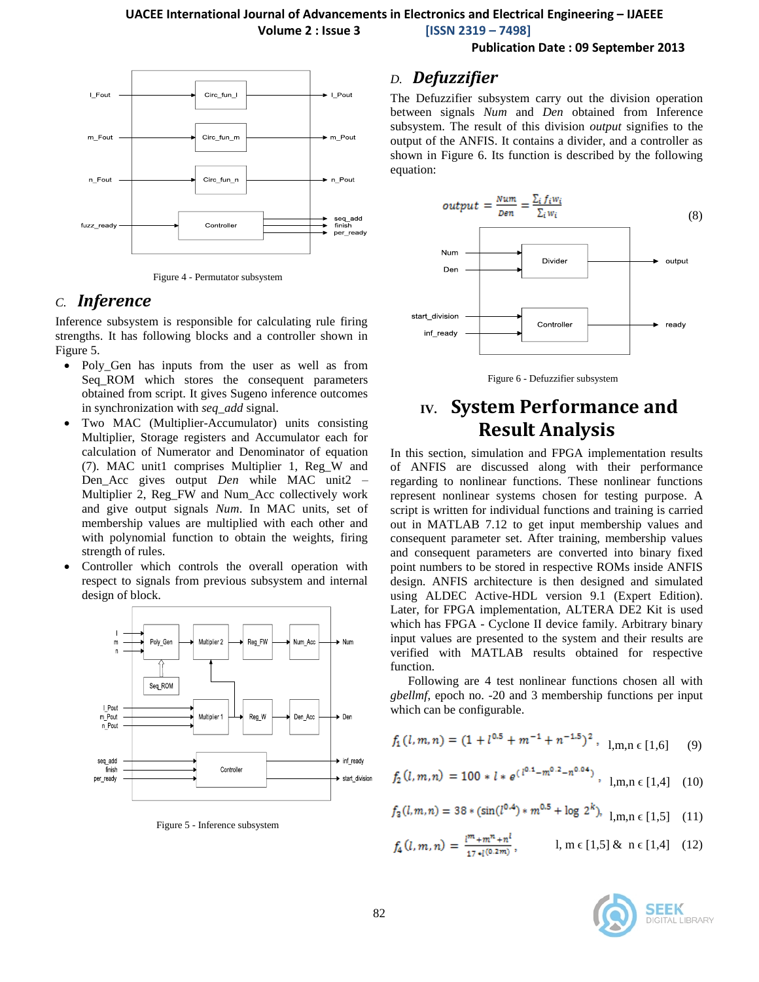**Volume 2 : Issue 3 [ISSN 2319 – 7498]**

**Publication Date : 09 September 2013**



Figure 4 - Permutator subsystem

### *C. Inference*

Inference subsystem is responsible for calculating rule firing strengths. It has following blocks and a controller shown in Figure 5.

- Poly\_Gen has inputs from the user as well as from Seq\_ROM which stores the consequent parameters obtained from script. It gives Sugeno inference outcomes in synchronization with *seq\_add* signal.
- Two MAC (Multiplier-Accumulator) units consisting Multiplier, Storage registers and Accumulator each for calculation of Numerator and Denominator of equation (7). MAC unit1 comprises Multiplier 1, Reg\_W and Den\_Acc gives output *Den* while MAC unit2 – Multiplier 2, Reg\_FW and Num\_Acc collectively work and give output signals *Num*. In MAC units, set of membership values are multiplied with each other and with polynomial function to obtain the weights, firing strength of rules.
- Controller which controls the overall operation with respect to signals from previous subsystem and internal design of block.



Figure 5 - Inference subsystem

### *D. Defuzzifier*

The Defuzzifier subsystem carry out the division operation between signals *Num* and *Den* obtained from Inference subsystem. The result of this division *output* signifies to the output of the ANFIS. It contains a divider, and a controller as shown in Figure 6. Its function is described by the following equation:



Figure 6 - Defuzzifier subsystem

# **IV. System Performance and Result Analysis**

In this section, simulation and FPGA implementation results of ANFIS are discussed along with their performance regarding to nonlinear functions. These nonlinear functions represent nonlinear systems chosen for testing purpose. A script is written for individual functions and training is carried out in MATLAB 7.12 to get input membership values and consequent parameter set. After training, membership values and consequent parameters are converted into binary fixed point numbers to be stored in respective ROMs inside ANFIS design. ANFIS architecture is then designed and simulated using ALDEC Active-HDL version 9.1 (Expert Edition). Later, for FPGA implementation, ALTERA DE2 Kit is used which has FPGA - Cyclone II device family. Arbitrary binary input values are presented to the system and their results are verified with MATLAB results obtained for respective function.

Following are 4 test nonlinear functions chosen all with *gbellmf*, epoch no. -20 and 3 membership functions per input which can be configurable.

$$
f_1(l,m,n) = (1 + l^{0.5} + m^{-1} + n^{-1.5})^2 , 1, m, n \in [1,6]
$$
 (9)

$$
f_2(l,m,n) = 100 * l * e^{(l^{0.1} - m^{0.2} - n^{0.04})}, l,m,n \in [1,4]
$$
 (10)

$$
f_3(l,m,n) = 38 * (\sin(l^{0.4}) * m^{0.5} + \log 2^{k}), \quad l,m,n \in [1,5] \quad (11)
$$

$$
f_4(l,m,n) = \frac{l^m + m^n + n^l}{17 \cdot l^{(0.2m)}}, \qquad l, m \in [1,5] \& n \in [1,4] \quad (12)
$$